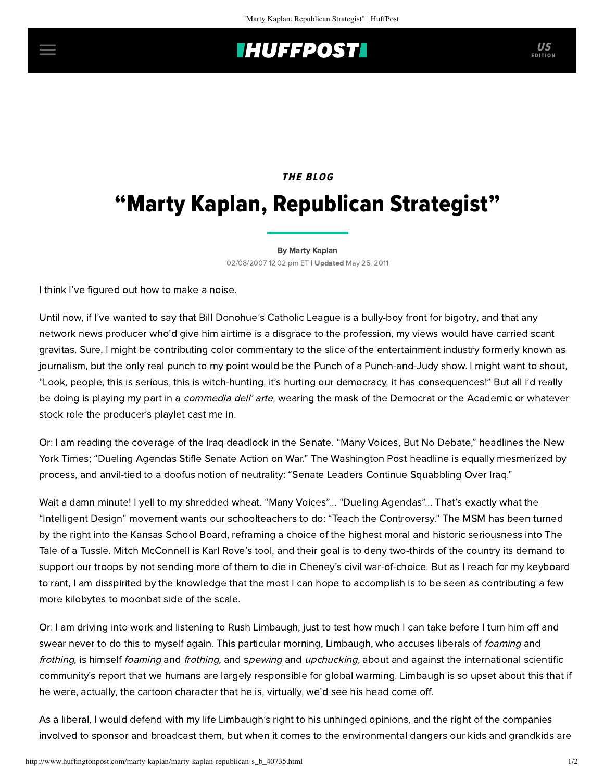## **THUFFPOST**

## **THE BLOG** "Marty Kaplan, Republican Strategist"

[By Marty Kaplan](http://www.huffingtonpost.com/author/marty-kaplan) 02/08/2007 12:02 pm ET | Updated May 25, 2011

I think I've figured out how to make a noise.

Until now, if I've wanted to say that Bill Donohue's Catholic League is a bully-boy front for [bigotry,](http://mediamatters.org/items/200412210001) and that any network news producer who'd give him airtime is a disgrace to the profession, my views would have carried scant gravitas. Sure, I might be contributing color commentary to the slice of the entertainment industry formerly known as journalism, but the only real punch to my point would be the Punch of a Punch-and-Judy show. I might want to shout, "Look, people, [this](http://glenngreenwald.blogspot.com/2007/02/look-at-john-mccains-blogger.html) is serious, this is witch-hunting, it's hurting our democracy, it has consequences!" But all I'd really be doing is playing my part in a *commedia dell' arte*, wearing the mask of the Democrat or the Academic or whatever stock role the producer's playlet cast me in.

Or: I am reading the coverage of the Iraq deadlock in the Senate. "Many Voices, But No Debate," headlines the New York Times; "Dueling Agendas Stifle Senate Action on War." The Washington Post headline is equally mesmerized by process, and anvil-tied to a doofus notion of neutrality: "Senate Leaders Continue Squabbling Over Iraq."

Wait a damn minute! I yell to my shredded wheat. "Many Voices"... "Dueling Agendas"... That's exactly what the "Intelligent Design" movement wants our schoolteachers to do: "Teach the Controversy." The MSM has been turned by the right into the Kansas School Board, reframing a choice of the highest moral and historic seriousness into The Tale of a Tussle. Mitch McConnell is Karl Rove's tool, and their goal is to deny two-thirds of the country its demand to support our troops by not sending more of them to die in Cheney's civil war-of-choice. But as I reach for my keyboard to rant, I am disspirited by the knowledge that the most I can hope to accomplish is to be seen as contributing a few more kilobytes to moonbat side of the scale.

Or: I am driving into work and listening to Rush Limbaugh, just to test how much I can take before I turn him off and swear never to do this to myself again. This particular morning, Limbaugh, who accuses liberals of foaming and frothing, is himself foaming and frothing, and spewing and upchucking, about and against the international scientific community's report that we humans are largely responsible for global warming. Limbaugh is so upset about this that if he were, actually, the cartoon character that he is, virtually, we'd see his head come off.

As a liberal, I would defend with my life Limbaugh's right to his unhinged opinions, and the right of the companies involved to sponsor and broadcast them, but when it comes to the environmental dangers our kids and grandkids are